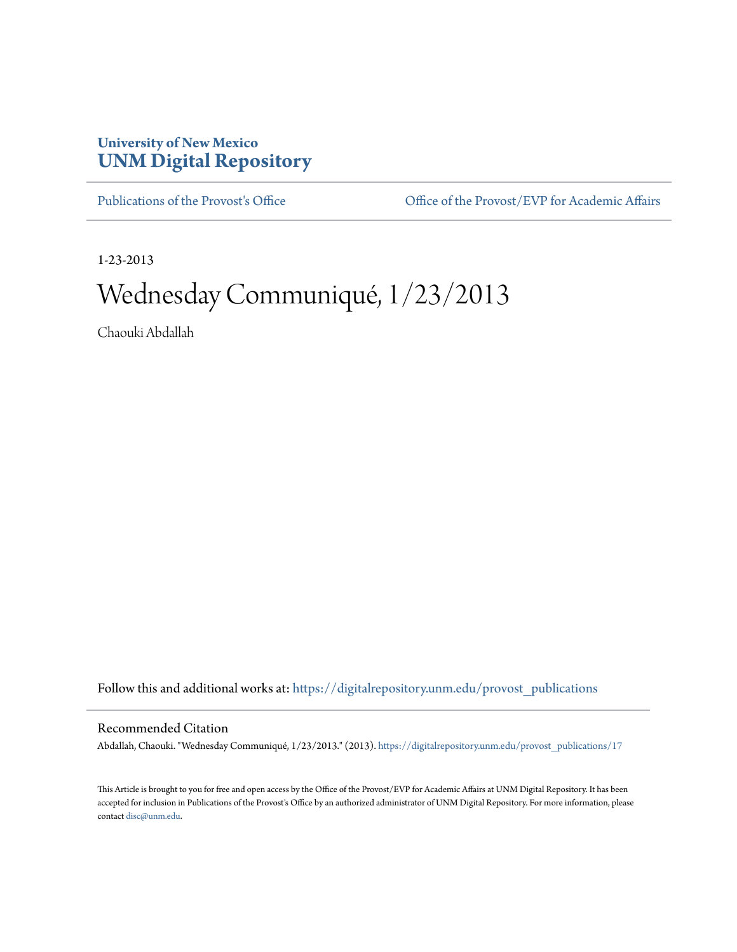## **University of New Mexico [UNM Digital Repository](https://digitalrepository.unm.edu?utm_source=digitalrepository.unm.edu%2Fprovost_publications%2F17&utm_medium=PDF&utm_campaign=PDFCoverPages)**

[Publications of the Provost's Office](https://digitalrepository.unm.edu/provost_publications?utm_source=digitalrepository.unm.edu%2Fprovost_publications%2F17&utm_medium=PDF&utm_campaign=PDFCoverPages) Office [Office of the Provost/EVP for Academic Affairs](https://digitalrepository.unm.edu/ofc_provost?utm_source=digitalrepository.unm.edu%2Fprovost_publications%2F17&utm_medium=PDF&utm_campaign=PDFCoverPages)

1-23-2013

# Wednesday Communiqué, 1/23/2013

Chaouki Abdallah

Follow this and additional works at: [https://digitalrepository.unm.edu/provost\\_publications](https://digitalrepository.unm.edu/provost_publications?utm_source=digitalrepository.unm.edu%2Fprovost_publications%2F17&utm_medium=PDF&utm_campaign=PDFCoverPages)

## Recommended Citation

Abdallah, Chaouki. "Wednesday Communiqué, 1/23/2013." (2013). [https://digitalrepository.unm.edu/provost\\_publications/17](https://digitalrepository.unm.edu/provost_publications/17?utm_source=digitalrepository.unm.edu%2Fprovost_publications%2F17&utm_medium=PDF&utm_campaign=PDFCoverPages)

This Article is brought to you for free and open access by the Office of the Provost/EVP for Academic Affairs at UNM Digital Repository. It has been accepted for inclusion in Publications of the Provost's Office by an authorized administrator of UNM Digital Repository. For more information, please contact [disc@unm.edu.](mailto:disc@unm.edu)